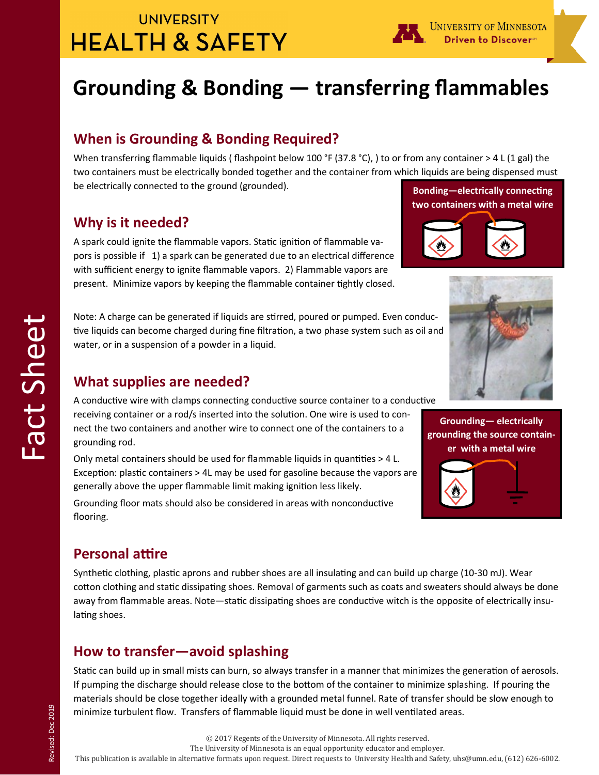# **UNIVERSITY HEALTH & SAFETY**



# **Grounding & Bonding — transferring flammables**

### **When is Grounding & Bonding Required?**

When transferring flammable liquids (flashpoint below 100 °F (37.8 °C), ) to or from any container > 4 L (1 gal) the two containers must be electrically bonded together and the container from which liquids are being dispensed must be electrically connected to the ground (grounded). **Bonding—electrically connecting** 

## **Why is it needed?**

A spark could ignite the flammable vapors. Static ignition of flammable vapors is possible if 1) a spark can be generated due to an electrical difference with sufficient energy to ignite flammable vapors. 2) Flammable vapors are present. Minimize vapors by keeping the flammable container tightly closed.

Note: A charge can be generated if liquids are stirred, poured or pumped. Even conductive liquids can become charged during fine filtration, a two phase system such as oil and water, or in a suspension of a powder in a liquid.

#### **What supplies are needed?**

A conductive wire with clamps connecting conductive source container to a conductive receiving container or a rod/s inserted into the solution. One wire is used to connect the two containers and another wire to connect one of the containers to a grounding rod.

Only metal containers should be used for flammable liquids in quantities > 4 L. Exception: plastic containers > 4L may be used for gasoline because the vapors are generally above the upper flammable limit making ignition less likely.

Grounding floor mats should also be considered in areas with nonconductive flooring.

### **Personal attire**

Synthetic clothing, plastic aprons and rubber shoes are all insulating and can build up charge (10-30 mJ). Wear cotton clothing and static dissipating shoes. Removal of garments such as coats and sweaters should always be done away from flammable areas. Note—static dissipating shoes are conductive witch is the opposite of electrically insulating shoes.

### **How to transfer—avoid splashing**

Static can build up in small mists can burn, so always transfer in a manner that minimizes the generation of aerosols. If pumping the discharge should release close to the bottom of the container to minimize splashing. If pouring the materials should be close together ideally with a grounded metal funnel. Rate of transfer should be slow enough to minimize turbulent flow. Transfers of flammable liquid must be done in well ventilated areas.

The University of Minnesota is an equal opportunity educator and employer.

This publication is available in alternative formats upon request. Direct requests to University Health and Safety, uhs@umn.edu, (612) 626-6002.



**two containers with a metal wire**

**Grounding— electrically grounding the source container with a metal wire**